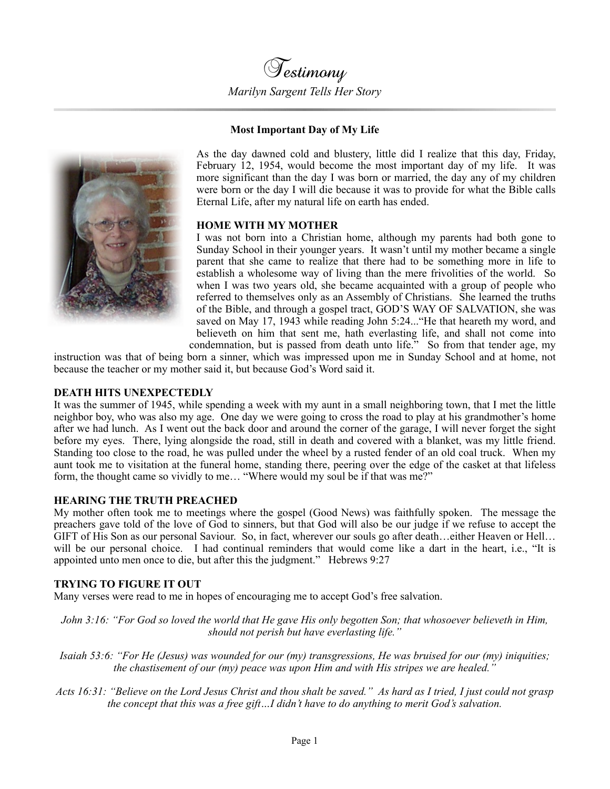

## **Most Important Day of My Life**



As the day dawned cold and blustery, little did I realize that this day, Friday, February 12, 1954, would become the most important day of my life. It was more significant than the day I was born or married, the day any of my children were born or the day I will die because it was to provide for what the Bible calls Eternal Life, after my natural life on earth has ended.

## **HOME WITH MY MOTHER**

I was not born into a Christian home, although my parents had both gone to Sunday School in their younger years. It wasn't until my mother became a single parent that she came to realize that there had to be something more in life to establish a wholesome way of living than the mere frivolities of the world. So when I was two years old, she became acquainted with a group of people who referred to themselves only as an Assembly of Christians. She learned the truths of the Bible, and through a gospel tract, GOD'S WAY OF SALVATION, she was saved on May 17, 1943 while reading John 5:24..."He that heareth my word, and believeth on him that sent me, hath everlasting life, and shall not come into condemnation, but is passed from death unto life." So from that tender age, my

instruction was that of being born a sinner, which was impressed upon me in Sunday School and at home, not because the teacher or my mother said it, but because God's Word said it.

### **DEATH HITS UNEXPECTEDLY**

It was the summer of 1945, while spending a week with my aunt in a small neighboring town, that I met the little neighbor boy, who was also my age. One day we were going to cross the road to play at his grandmother's home after we had lunch. As I went out the back door and around the corner of the garage, I will never forget the sight before my eyes. There, lying alongside the road, still in death and covered with a blanket, was my little friend. Standing too close to the road, he was pulled under the wheel by a rusted fender of an old coal truck. When my aunt took me to visitation at the funeral home, standing there, peering over the edge of the casket at that lifeless form, the thought came so vividly to me… "Where would my soul be if that was me?"

### **HEARING THE TRUTH PREACHED**

My mother often took me to meetings where the gospel (Good News) was faithfully spoken. The message the preachers gave told of the love of God to sinners, but that God will also be our judge if we refuse to accept the GIFT of His Son as our personal Saviour. So, in fact, wherever our souls go after death…either Heaven or Hell… will be our personal choice. I had continual reminders that would come like a dart in the heart, i.e., "It is appointed unto men once to die, but after this the judgment." Hebrews 9:2[7](https://biblia.com/bible/esv/Heb%209.27)

### **TRYING TO FIGURE IT OUT**

Many verses were read to me in hopes of encouraging me to accept God's free salvation.

*John 3:16: "For God so loved the world that He gave His only begotten Son; that whosoever believeth in Him, should not perish but have everlasting life."* 

*Isaiah 53:6: "For He (Jesus) was wounded for our (my) transgressions, He was bruised for our (my) iniquities; the chastisement of our (my) peace was upon Him and with His stripes we are healed."*

*Acts 16:31: "Believe on the Lord Jesus Christ and thou shalt be saved." As hard as I tried, I just could not grasp the concept that this was a free gift…I didn't have to do anything to merit God's salvation.*